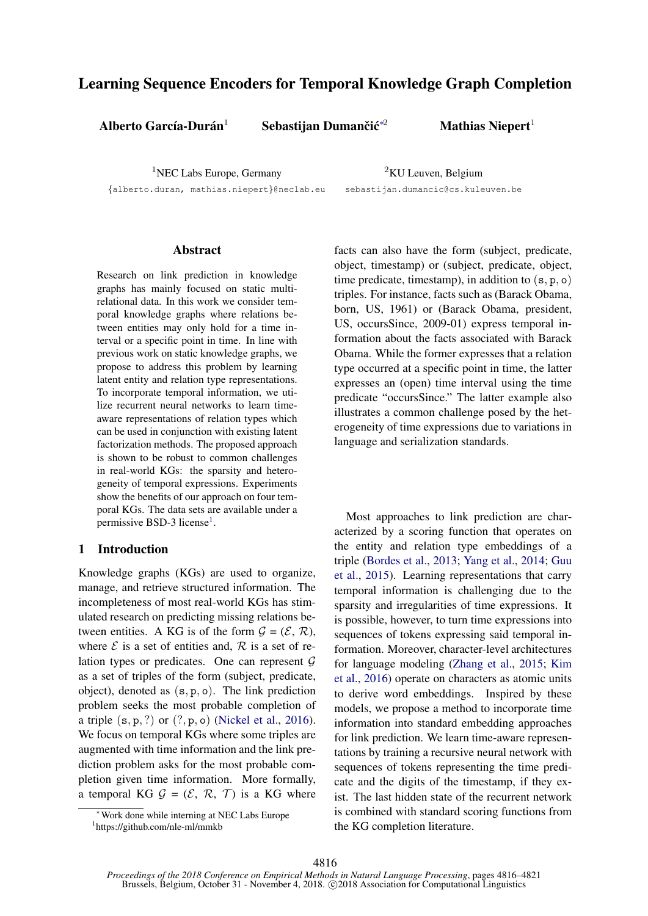# Learning Sequence Encoders for Temporal Knowledge Graph Completion

Alberto García-Durán $^1$ 

Sebastijan Dumančić $*^2$ 

Mathias Niepert $1$ 

<sup>1</sup>NEC Labs Europe, Germany

<sup>2</sup>KU Leuven, Belgium

{alberto.duran, mathias.niepert}@neclab.eu

sebastijan.dumancic@cs.kuleuven.be

# Abstract

Research on link prediction in knowledge graphs has mainly focused on static multirelational data. In this work we consider temporal knowledge graphs where relations between entities may only hold for a time interval or a specific point in time. In line with previous work on static knowledge graphs, we propose to address this problem by learning latent entity and relation type representations. To incorporate temporal information, we utilize recurrent neural networks to learn timeaware representations of relation types which can be used in conjunction with existing latent factorization methods. The proposed approach is shown to be robust to common challenges in real-world KGs: the sparsity and heterogeneity of temporal expressions. Experiments show the benefits of our approach on four temporal KGs. The data sets are available under a permissive BSD-3 license<sup>[1](#page-0-0)</sup>.

# 1 Introduction

Knowledge graphs (KGs) are used to organize, manage, and retrieve structured information. The incompleteness of most real-world KGs has stimulated research on predicting missing relations between entities. A KG is of the form  $G = (\mathcal{E}, \mathcal{R})$ , where  $\mathcal E$  is a set of entities and,  $\mathcal R$  is a set of relation types or predicates. One can represent  $G$ as a set of triples of the form (subject, predicate, object), denoted as (s, p, o). The link prediction problem seeks the most probable completion of a triple  $(s, p, ?)$  or  $(?, p, o)$  [\(Nickel et al.,](#page-5-0) [2016\)](#page-5-0). We focus on temporal KGs where some triples are augmented with time information and the link prediction problem asks for the most probable completion given time information. More formally, a temporal KG  $G = (\mathcal{E}, \mathcal{R}, \mathcal{T})$  is a KG where

facts can also have the form (subject, predicate, object, timestamp) or (subject, predicate, object, time predicate, timestamp), in addition to  $(s, p, o)$ triples. For instance, facts such as (Barack Obama, born, US, 1961) or (Barack Obama, president, US, occursSince, 2009-01) express temporal information about the facts associated with Barack Obama. While the former expresses that a relation type occurred at a specific point in time, the latter expresses an (open) time interval using the time predicate "occursSince." The latter example also illustrates a common challenge posed by the heterogeneity of time expressions due to variations in language and serialization standards.

Most approaches to link prediction are characterized by a scoring function that operates on the entity and relation type embeddings of a triple [\(Bordes et al.,](#page-5-1) [2013;](#page-5-1) [Yang et al.,](#page-5-2) [2014;](#page-5-2) [Guu](#page-5-3) [et al.,](#page-5-3) [2015\)](#page-5-3). Learning representations that carry temporal information is challenging due to the sparsity and irregularities of time expressions. It is possible, however, to turn time expressions into sequences of tokens expressing said temporal information. Moreover, character-level architectures for language modeling [\(Zhang et al.,](#page-5-4) [2015;](#page-5-4) [Kim](#page-5-5) [et al.,](#page-5-5) [2016\)](#page-5-5) operate on characters as atomic units to derive word embeddings. Inspired by these models, we propose a method to incorporate time information into standard embedding approaches for link prediction. We learn time-aware representations by training a recursive neural network with sequences of tokens representing the time predicate and the digits of the timestamp, if they exist. The last hidden state of the recurrent network is combined with standard scoring functions from the KG completion literature.

<sup>∗</sup>Work done while interning at NEC Labs Europe

<span id="page-0-0"></span><sup>1</sup> https://github.com/nle-ml/mmkb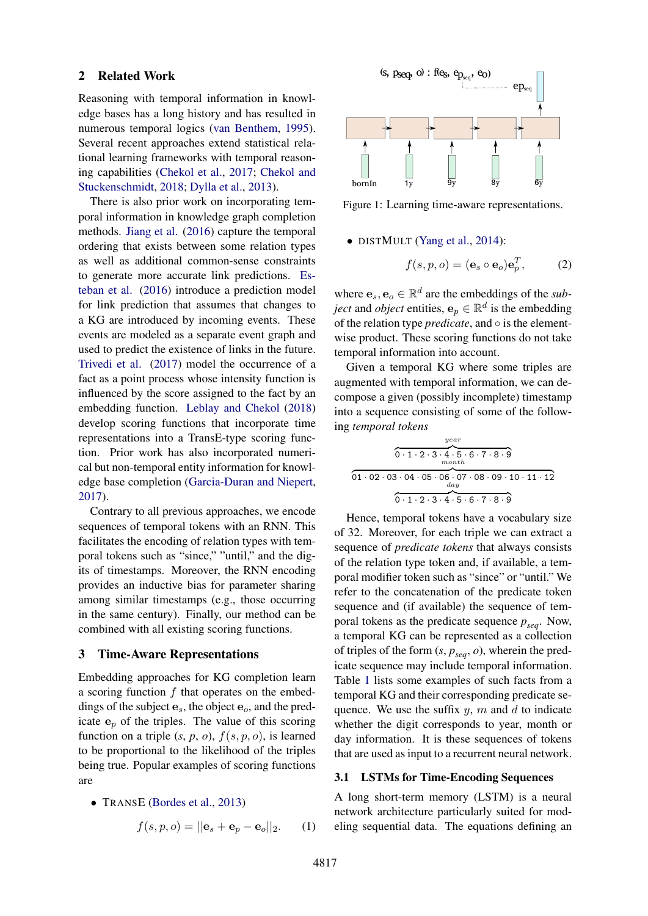#### 2 Related Work

Reasoning with temporal information in knowledge bases has a long history and has resulted in numerous temporal logics [\(van Benthem,](#page-5-6) [1995\)](#page-5-6). Several recent approaches extend statistical relational learning frameworks with temporal reasoning capabilities [\(Chekol et al.,](#page-5-7) [2017;](#page-5-7) [Chekol and](#page-5-8) [Stuckenschmidt,](#page-5-8) [2018;](#page-5-8) [Dylla et al.,](#page-5-9) [2013\)](#page-5-9).

There is also prior work on incorporating temporal information in knowledge graph completion methods. [Jiang et al.](#page-5-10) [\(2016\)](#page-5-10) capture the temporal ordering that exists between some relation types as well as additional common-sense constraints to generate more accurate link predictions. [Es](#page-5-11)[teban et al.](#page-5-11) [\(2016\)](#page-5-11) introduce a prediction model for link prediction that assumes that changes to a KG are introduced by incoming events. These events are modeled as a separate event graph and used to predict the existence of links in the future. [Trivedi et al.](#page-5-12) [\(2017\)](#page-5-12) model the occurrence of a fact as a point process whose intensity function is influenced by the score assigned to the fact by an embedding function. [Leblay and Chekol](#page-5-13) [\(2018\)](#page-5-13) develop scoring functions that incorporate time representations into a TransE-type scoring function. Prior work has also incorporated numerical but non-temporal entity information for knowledge base completion [\(Garcia-Duran and Niepert,](#page-5-14) [2017\)](#page-5-14).

Contrary to all previous approaches, we encode sequences of temporal tokens with an RNN. This facilitates the encoding of relation types with temporal tokens such as "since," "until," and the digits of timestamps. Moreover, the RNN encoding provides an inductive bias for parameter sharing among similar timestamps (e.g., those occurring in the same century). Finally, our method can be combined with all existing scoring functions.

# 3 Time-Aware Representations

Embedding approaches for KG completion learn a scoring function  $f$  that operates on the embeddings of the subject  $e_s$ , the object  $e_o$ , and the predicate  $e_p$  of the triples. The value of this scoring function on a triple  $(s, p, o)$ ,  $f(s, p, o)$ , is learned to be proportional to the likelihood of the triples being true. Popular examples of scoring functions are

• TRANSE [\(Bordes et al.,](#page-5-1) [2013\)](#page-5-1)

$$
f(s, p, o) = ||\mathbf{e}_s + \mathbf{e}_p - \mathbf{e}_o||_2.
$$
 (1)

<span id="page-1-0"></span>

Figure 1: Learning time-aware representations.

• DISTMULT [\(Yang et al.,](#page-5-2) [2014\)](#page-5-2):

$$
f(s, p, o) = (\mathbf{e}_s \circ \mathbf{e}_o) \mathbf{e}_p^T, \tag{2}
$$

where  $\mathbf{e}_s, \mathbf{e}_o \in \mathbb{R}^d$  are the embeddings of the *subject* and *object* entities,  $e_p \in \mathbb{R}^d$  is the embedding of the relation type *predicate*, and ◦ is the elementwise product. These scoring functions do not take temporal information into account.

Given a temporal KG where some triples are augmented with temporal information, we can decompose a given (possibly incomplete) timestamp into a sequence consisting of some of the following *temporal tokens*

$$
\frac{year}{0 \cdot 1 \cdot 2 \cdot 3 \cdot 4 \cdot 5 \cdot 6 \cdot 7 \cdot 8 \cdot 9}
$$
\n
$$
\overbrace{01 \cdot 02 \cdot 03 \cdot 04 \cdot 05 \cdot 06 \cdot 07 \cdot 08 \cdot 09 \cdot 10 \cdot 11 \cdot 12}^{meanth}
$$
\n
$$
\overbrace{0 \cdot 1 \cdot 2 \cdot 3 \cdot 4 \cdot 5 \cdot 6 \cdot 7 \cdot 8 \cdot 9}^{year}
$$

Hence, temporal tokens have a vocabulary size of 32. Moreover, for each triple we can extract a sequence of *predicate tokens* that always consists of the relation type token and, if available, a temporal modifier token such as "since" or "until." We refer to the concatenation of the predicate token sequence and (if available) the sequence of temporal tokens as the predicate sequence  $p_{sea}$ . Now, a temporal KG can be represented as a collection of triples of the form  $(s, p_{\text{seq}}, o)$ , wherein the predicate sequence may include temporal information. Table [1](#page-2-0) lists some examples of such facts from a temporal KG and their corresponding predicate sequence. We use the suffix  $y$ ,  $m$  and  $d$  to indicate whether the digit corresponds to year, month or day information. It is these sequences of tokens that are used as input to a recurrent neural network.

### 3.1 LSTMs for Time-Encoding Sequences

A long short-term memory (LSTM) is a neural network architecture particularly suited for modeling sequential data. The equations defining an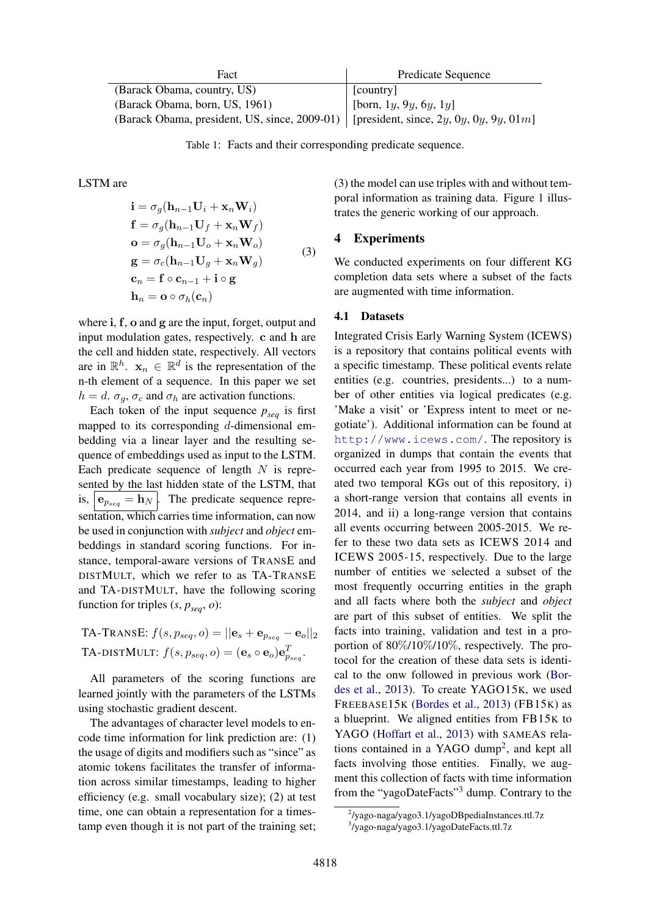<span id="page-2-0"></span>

| Fact                                                                                  | Predicate Sequence                 |  |  |
|---------------------------------------------------------------------------------------|------------------------------------|--|--|
| (Barack Obama, country, US)                                                           | [country]                          |  |  |
| (Barack Obama, born, US, 1961)                                                        | [born, $1y$ , $9y$ , $6y$ , $1y$ ] |  |  |
| (Barack Obama, president, US, since, 2009-01) [president, since, 2y, 0y, 0y, 9y, 01m] |                                    |  |  |

Table 1: Facts and their corresponding predicate sequence.

LSTM are

$$
\begin{aligned}\n\mathbf{i} &= \sigma_g(\mathbf{h}_{n-1}\mathbf{U}_i + \mathbf{x}_n\mathbf{W}_i) \\
\mathbf{f} &= \sigma_g(\mathbf{h}_{n-1}\mathbf{U}_f + \mathbf{x}_n\mathbf{W}_f) \\
\mathbf{o} &= \sigma_g(\mathbf{h}_{n-1}\mathbf{U}_o + \mathbf{x}_n\mathbf{W}_o) \\
\mathbf{g} &= \sigma_c(\mathbf{h}_{n-1}\mathbf{U}_g + \mathbf{x}_n\mathbf{W}_g) \\
\mathbf{c}_n &= \mathbf{f} \circ \mathbf{c}_{n-1} + \mathbf{i} \circ \mathbf{g} \\
\mathbf{h}_n &= \mathbf{o} \circ \sigma_h(\mathbf{c}_n)\n\end{aligned} \tag{3}
$$

where i, f, o and g are the input, forget, output and input modulation gates, respectively. c and h are the cell and hidden state, respectively. All vectors are in  $\mathbb{R}^h$ .  $\mathbf{x}_n \in \mathbb{R}^d$  is the representation of the n-th element of a sequence. In this paper we set  $h = d$ .  $\sigma_q$ ,  $\sigma_c$  and  $\sigma_h$  are activation functions.

Each token of the input sequence  $p_{seq}$  is first mapped to its corresponding  $d$ -dimensional embedding via a linear layer and the resulting sequence of embeddings used as input to the LSTM. Each predicate sequence of length  $N$  is represented by the last hidden state of the LSTM, that is,  $\mathbf{e}_{p_{\text{seq}}} = \mathbf{h}_N$ . The predicate sequence representation, which carries time information, can now be used in conjunction with *subject* and *object* embeddings in standard scoring functions. For instance, temporal-aware versions of TRANSE and DISTMULT, which we refer to as TA-TRANSE and TA-DISTMULT, have the following scoring function for triples  $(s, p_{\text{seq}}, o)$ :

TA-TRANSE:  $f(s, p_{seq}, o) = ||\mathbf{e}_s + \mathbf{e}_{p_{seq}} - \mathbf{e}_o||_2$ TA-DISTMULT:  $f(s, p_{seq}, o) = (\mathbf{e}_s \circ \mathbf{e}_o) \mathbf{e}_{p_{seq}}^T$ .

All parameters of the scoring functions are learned jointly with the parameters of the LSTMs using stochastic gradient descent.

The advantages of character level models to encode time information for link prediction are: (1) the usage of digits and modifiers such as "since" as atomic tokens facilitates the transfer of information across similar timestamps, leading to higher efficiency (e.g. small vocabulary size); (2) at test time, one can obtain a representation for a timestamp even though it is not part of the training set; (3) the model can use triples with and without temporal information as training data. Figure [1](#page-1-0) illustrates the generic working of our approach.

# 4 Experiments

We conducted experiments on four different KG completion data sets where a subset of the facts are augmented with time information.

#### 4.1 Datasets

Integrated Crisis Early Warning System (ICEWS) is a repository that contains political events with a specific timestamp. These political events relate entities (e.g. countries, presidents...) to a number of other entities via logical predicates (e.g. 'Make a visit' or 'Express intent to meet or negotiate'). Additional information can be found at <http://www.icews.com/>. The repository is organized in dumps that contain the events that occurred each year from 1995 to 2015. We created two temporal KGs out of this repository, i) a short-range version that contains all events in 2014, and ii) a long-range version that contains all events occurring between 2005-2015. We refer to these two data sets as ICEWS 2014 and ICEWS 2005-15, respectively. Due to the large number of entities we selected a subset of the most frequently occurring entities in the graph and all facts where both the *subject* and *object* are part of this subset of entities. We split the facts into training, validation and test in a proportion of 80%/10%/10%, respectively. The protocol for the creation of these data sets is identical to the onw followed in previous work [\(Bor](#page-5-1)[des et al.,](#page-5-1) [2013\)](#page-5-1). To create YAGO15K, we used FREEBASE15K [\(Bordes et al.,](#page-5-1) [2013\)](#page-5-1) (FB15K) as a blueprint. We aligned entities from FB15K to YAGO [\(Hoffart et al.,](#page-5-15) [2013\)](#page-5-15) with SAMEAS rela-tions contained in a YAGO dump<sup>[2](#page-2-1)</sup>, and kept all facts involving those entities. Finally, we augment this collection of facts with time information from the "yagoDateFacts"[3](#page-2-2) dump. Contrary to the

<span id="page-2-1"></span><sup>2</sup> /yago-naga/yago3.1/yagoDBpediaInstances.ttl.7z

<span id="page-2-2"></span><sup>3</sup> /yago-naga/yago3.1/yagoDateFacts.ttl.7z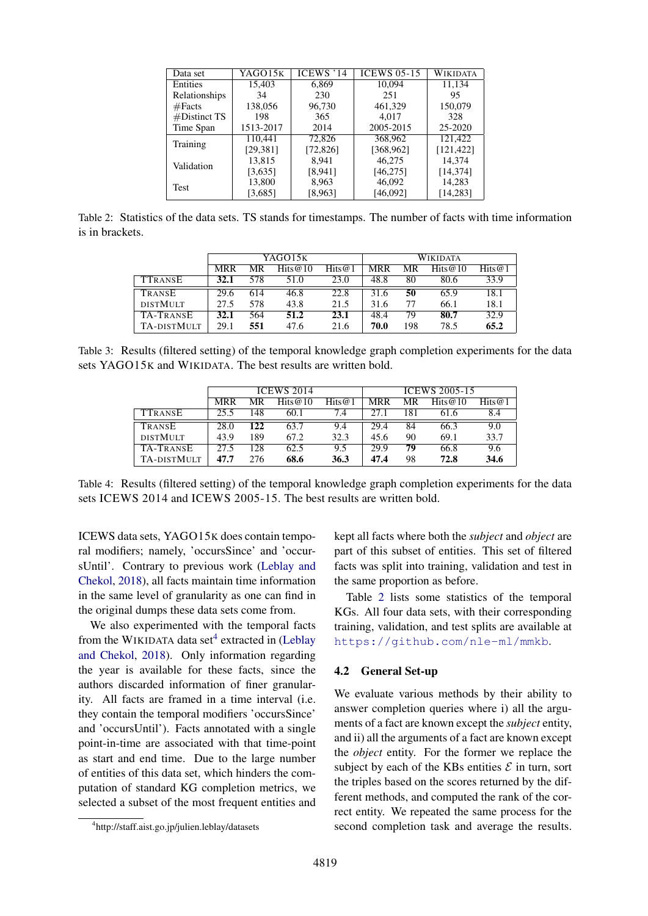<span id="page-3-1"></span>

| Data set            | $\overline{\text{YAGO}}$ 15K | ICEWS '14 | <b>ICEWS 05-15</b> | <b>WIKIDATA</b> |  |
|---------------------|------------------------------|-----------|--------------------|-----------------|--|
| Entities            | 15.403                       | 6,869     | 10.094             | 11,134          |  |
| Relationships       | 34                           | 230       | 251                | 95              |  |
| #Facts              | 138,056                      | 96,730    | 461,329            | 150,079         |  |
| #Distinct TS<br>198 |                              | 365       | 4.017              | 328             |  |
| Time Span           | 1513-2017                    | 2014      | 2005-2015          | 25-2020         |  |
| Training            | 110,441                      | 72,826    | 368,962            | 121,422         |  |
|                     | [29, 381]                    | [72, 826] | [368, 962]         | [121, 422]      |  |
| Validation          | 13.815                       | 8.941     | 46.275             | 14.374          |  |
|                     | [3,635]                      | [8,941]   | [46, 275]          | [14, 374]       |  |
| <b>Test</b>         | 13,800                       | 8,963     | 46,092             | 14,283          |  |
|                     | [3,685]                      | [8,963]   | [46,092]           | [14, 283]       |  |

<span id="page-3-2"></span>Table 2: Statistics of the data sets. TS stands for timestamps. The number of facts with time information is in brackets.

|                    | YAGO15K    |     |            | <b>WIKIDATA</b> |            |     |            |        |
|--------------------|------------|-----|------------|-----------------|------------|-----|------------|--------|
|                    | <b>MRR</b> | MR  | Hits $@10$ | Hits@1          | <b>MRR</b> | MR  | Hits $@10$ | Hits@1 |
| <b>TTRANSE</b>     | 32.1       | 578 | 51.0       | 23.0            | 48.8       | 80  | 80.6       | 33.9   |
| TRANSE             | 29.6       | 614 | 46.8       | 22.8            | 31.6       | 50  | 65.9       | 18.1   |
| <b>DISTMULT</b>    | 27.5       | 578 | 43.8       | 21.5            | 31.6       | 77  | 66.1       | 18.1   |
| TA-TRANSE          | 32.1       | 564 | 51.2       | 23.1            | 48.4       | 79  | 80.7       | 32.9   |
| <b>TA-DISTMULT</b> | 29.1       | 551 | 47.6       | 21.6            | 70.0       | 198 | 78.5       | 65.2   |

<span id="page-3-3"></span>Table 3: Results (filtered setting) of the temporal knowledge graph completion experiments for the data sets YAGO15K and WIKIDATA. The best results are written bold.

|                    | <b>ICEWS 2014</b> |     |            | <b>ICEWS 2005-15</b> |            |     |            |           |
|--------------------|-------------------|-----|------------|----------------------|------------|-----|------------|-----------|
|                    | <b>MRR</b>        | MR  | Hits $@10$ | Hits@1               | <b>MRR</b> | MR  | Hits $@10$ | Hits $@1$ |
| <b>TTRANSE</b>     | 25.5              | 148 | 60.1       | 7.4                  | 27.1       | 181 | 61.6       | 8.4       |
| TRANSE             | 28.0              | 122 | 63.7       | 9.4                  | 29.4       | 84  | 66.3       | 9.0       |
| <b>DISTMULT</b>    | 43.9              | 189 | 67.2       | 32.3                 | 45.6       | 90  | 69.1       | 33.7      |
| TA-TRANSE          | 27.5              | 128 | 62.5       | 9.5                  | 29.9       | 79  | 66.8       | 9.6       |
| <b>TA-DISTMULT</b> | 47.7              | 276 | 68.6       | 36.3                 | 47.4       | 98  | 72.8       | 34.6      |

Table 4: Results (filtered setting) of the temporal knowledge graph completion experiments for the data sets ICEWS 2014 and ICEWS 2005-15. The best results are written bold.

ICEWS data sets, YAGO15K does contain temporal modifiers; namely, 'occursSince' and 'occursUntil'. Contrary to previous work [\(Leblay and](#page-5-13) [Chekol,](#page-5-13) [2018\)](#page-5-13), all facts maintain time information in the same level of granularity as one can find in the original dumps these data sets come from.

We also experimented with the temporal facts from the WIKIDATA data set<sup>[4](#page-3-0)</sup> extracted in [\(Leblay](#page-5-13) [and Chekol,](#page-5-13) [2018\)](#page-5-13). Only information regarding the year is available for these facts, since the authors discarded information of finer granularity. All facts are framed in a time interval (i.e. they contain the temporal modifiers 'occursSince' and 'occursUntil'). Facts annotated with a single point-in-time are associated with that time-point as start and end time. Due to the large number of entities of this data set, which hinders the computation of standard KG completion metrics, we selected a subset of the most frequent entities and

Table [2](#page-3-1) lists some statistics of the temporal KGs. All four data sets, with their corresponding training, validation, and test splits are available at <https://github.com/nle-ml/mmkb>.

## 4.2 General Set-up

We evaluate various methods by their ability to answer completion queries where i) all the arguments of a fact are known except the *subject* entity, and ii) all the arguments of a fact are known except the *object* entity. For the former we replace the subject by each of the KBs entities  $\mathcal E$  in turn, sort the triples based on the scores returned by the different methods, and computed the rank of the correct entity. We repeated the same process for the second completion task and average the results.

kept all facts where both the *subject* and *object* are part of this subset of entities. This set of filtered facts was split into training, validation and test in the same proportion as before.

<span id="page-3-0"></span><sup>4</sup> http://staff.aist.go.jp/julien.leblay/datasets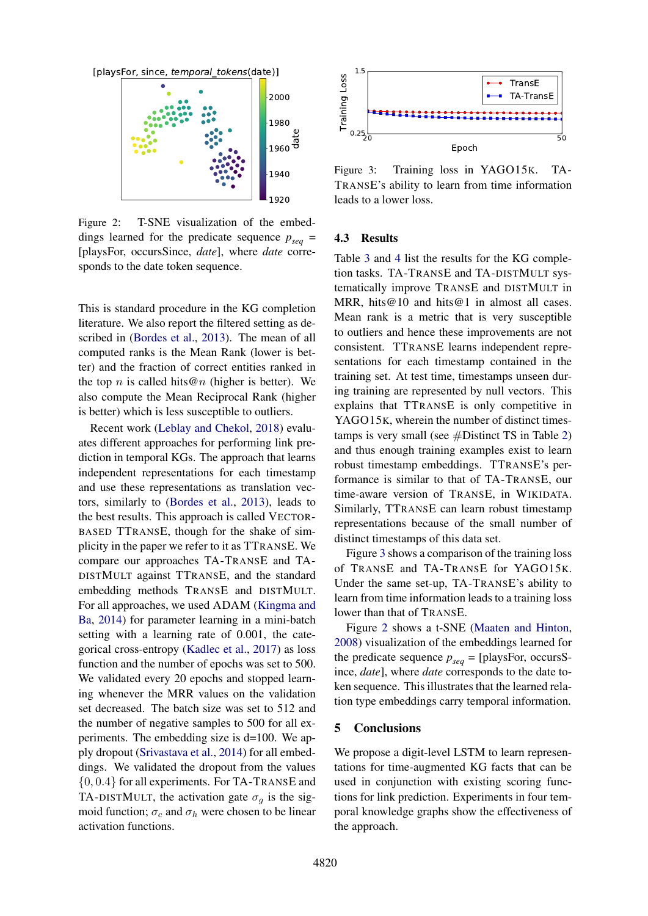<span id="page-4-1"></span>

Figure 2: T-SNE visualization of the embeddings learned for the predicate sequence  $p_{sea}$  = [playsFor, occursSince, *date*], where *date* corresponds to the date token sequence.

This is standard procedure in the KG completion literature. We also report the filtered setting as described in [\(Bordes et al.,](#page-5-1) [2013\)](#page-5-1). The mean of all computed ranks is the Mean Rank (lower is better) and the fraction of correct entities ranked in the top n is called hits  $@n$  (higher is better). We also compute the Mean Reciprocal Rank (higher is better) which is less susceptible to outliers.

Recent work [\(Leblay and Chekol,](#page-5-13) [2018\)](#page-5-13) evaluates different approaches for performing link prediction in temporal KGs. The approach that learns independent representations for each timestamp and use these representations as translation vectors, similarly to [\(Bordes et al.,](#page-5-1) [2013\)](#page-5-1), leads to the best results. This approach is called VECTOR-BASED TTRANSE, though for the shake of simplicity in the paper we refer to it as TTRANSE. We compare our approaches TA-TRANSE and TA-DISTMULT against TTRANSE, and the standard embedding methods TRANSE and DISTMULT. For all approaches, we used ADAM [\(Kingma and](#page-5-16) [Ba,](#page-5-16) [2014\)](#page-5-16) for parameter learning in a mini-batch setting with a learning rate of 0.001, the categorical cross-entropy [\(Kadlec et al.,](#page-5-17) [2017\)](#page-5-17) as loss function and the number of epochs was set to 500. We validated every 20 epochs and stopped learning whenever the MRR values on the validation set decreased. The batch size was set to 512 and the number of negative samples to 500 for all experiments. The embedding size is d=100. We apply dropout [\(Srivastava et al.,](#page-5-18) [2014\)](#page-5-18) for all embeddings. We validated the dropout from the values {0, 0.4} for all experiments. For TA-TRANSE and TA-DISTMULT, the activation gate  $\sigma_q$  is the sigmoid function;  $\sigma_c$  and  $\sigma_h$  were chosen to be linear activation functions.

<span id="page-4-0"></span>

Figure 3: Training loss in YAGO15K. TA-TRANSE's ability to learn from time information leads to a lower loss.

#### 4.3 Results

Table [3](#page-3-2) and [4](#page-3-3) list the results for the KG completion tasks. TA-TRANSE and TA-DISTMULT systematically improve TRANSE and DISTMULT in MRR, hits@10 and hits@1 in almost all cases. Mean rank is a metric that is very susceptible to outliers and hence these improvements are not consistent. TTRANSE learns independent representations for each timestamp contained in the training set. At test time, timestamps unseen during training are represented by null vectors. This explains that TTRANSE is only competitive in YAGO15K, wherein the number of distinct timestamps is very small (see  $#D$ istinct TS in Table [2\)](#page-3-1) and thus enough training examples exist to learn robust timestamp embeddings. TTRANSE's performance is similar to that of TA-TRANSE, our time-aware version of TRANSE, in WIKIDATA. Similarly, TTRANSE can learn robust timestamp representations because of the small number of distinct timestamps of this data set.

Figure [3](#page-4-0) shows a comparison of the training loss of TRANSE and TA-TRANSE for YAGO15K. Under the same set-up, TA-TRANSE's ability to learn from time information leads to a training loss lower than that of TRANSE.

Figure [2](#page-4-1) shows a t-SNE [\(Maaten and Hinton,](#page-5-19) [2008\)](#page-5-19) visualization of the embeddings learned for the predicate sequence  $p_{seq}$  = [playsFor, occursSince, *date*], where *date* corresponds to the date token sequence. This illustrates that the learned relation type embeddings carry temporal information.

### 5 Conclusions

We propose a digit-level LSTM to learn representations for time-augmented KG facts that can be used in conjunction with existing scoring functions for link prediction. Experiments in four temporal knowledge graphs show the effectiveness of the approach.